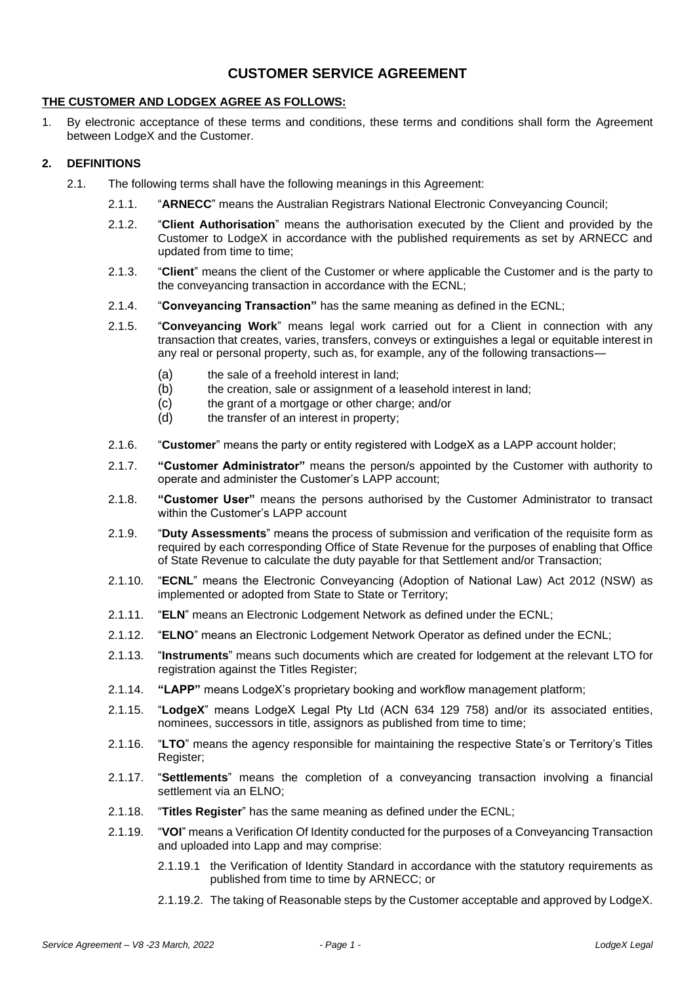# **CUSTOMER SERVICE AGREEMENT**

### **THE CUSTOMER AND LODGEX AGREE AS FOLLOWS:**

1. By electronic acceptance of these terms and conditions, these terms and conditions shall form the Agreement between LodgeX and the Customer.

# **2. DEFINITIONS**

- 2.1. The following terms shall have the following meanings in this Agreement:
	- 2.1.1. "**ARNECC**" means the Australian Registrars National Electronic Conveyancing Council;
	- 2.1.2. "**Client Authorisation**" means the authorisation executed by the Client and provided by the Customer to LodgeX in accordance with the published requirements as set by ARNECC and updated from time to time;
	- 2.1.3. "**Client**" means the client of the Customer or where applicable the Customer and is the party to the conveyancing transaction in accordance with the ECNL;
	- 2.1.4. "**Conveyancing Transaction"** has the same meaning as defined in the ECNL;
	- 2.1.5. "**Conveyancing Work**" means legal work carried out for a Client in connection with any transaction that creates, varies, transfers, conveys or extinguishes a legal or equitable interest in any real or personal property, such as, for example, any of the following transactions—
		- (a) the sale of a freehold interest in land;
		- (b) the creation, sale or assignment of a leasehold interest in land;
		- (c) the grant of a mortgage or other charge; and/or (d) the transfer of an interest in property:
		- the transfer of an interest in property;
	- 2.1.6. "**Customer**" means the party or entity registered with LodgeX as a LAPP account holder;
	- 2.1.7. **"Customer Administrator"** means the person/s appointed by the Customer with authority to operate and administer the Customer's LAPP account;
	- 2.1.8. **"Customer User"** means the persons authorised by the Customer Administrator to transact within the Customer's LAPP account
	- 2.1.9. "**Duty Assessments**" means the process of submission and verification of the requisite form as required by each corresponding Office of State Revenue for the purposes of enabling that Office of State Revenue to calculate the duty payable for that Settlement and/or Transaction;
	- 2.1.10. "**ECNL**" means the Electronic Conveyancing (Adoption of National Law) Act 2012 (NSW) as implemented or adopted from State to State or Territory;
	- 2.1.11. "**ELN**" means an Electronic Lodgement Network as defined under the ECNL;
	- 2.1.12. "**ELNO**" means an Electronic Lodgement Network Operator as defined under the ECNL;
	- 2.1.13. "**Instruments**" means such documents which are created for lodgement at the relevant LTO for registration against the Titles Register;
	- 2.1.14. **"LAPP"** means LodgeX's proprietary booking and workflow management platform;
	- 2.1.15. "**LodgeX**" means LodgeX Legal Pty Ltd (ACN 634 129 758) and/or its associated entities, nominees, successors in title, assignors as published from time to time;
	- 2.1.16. "**LTO**" means the agency responsible for maintaining the respective State's or Territory's Titles Register;
	- 2.1.17. "**Settlements**" means the completion of a conveyancing transaction involving a financial settlement via an ELNO;
	- 2.1.18. "**Titles Register**" has the same meaning as defined under the ECNL;
	- 2.1.19. "**VOI**" means a Verification Of Identity conducted for the purposes of a Conveyancing Transaction and uploaded into Lapp and may comprise:
		- 2.1.19.1 the Verification of Identity Standard in accordance with the statutory requirements as published from time to time by ARNECC; or
		- 2.1.19.2. The taking of Reasonable steps by the Customer acceptable and approved by LodgeX.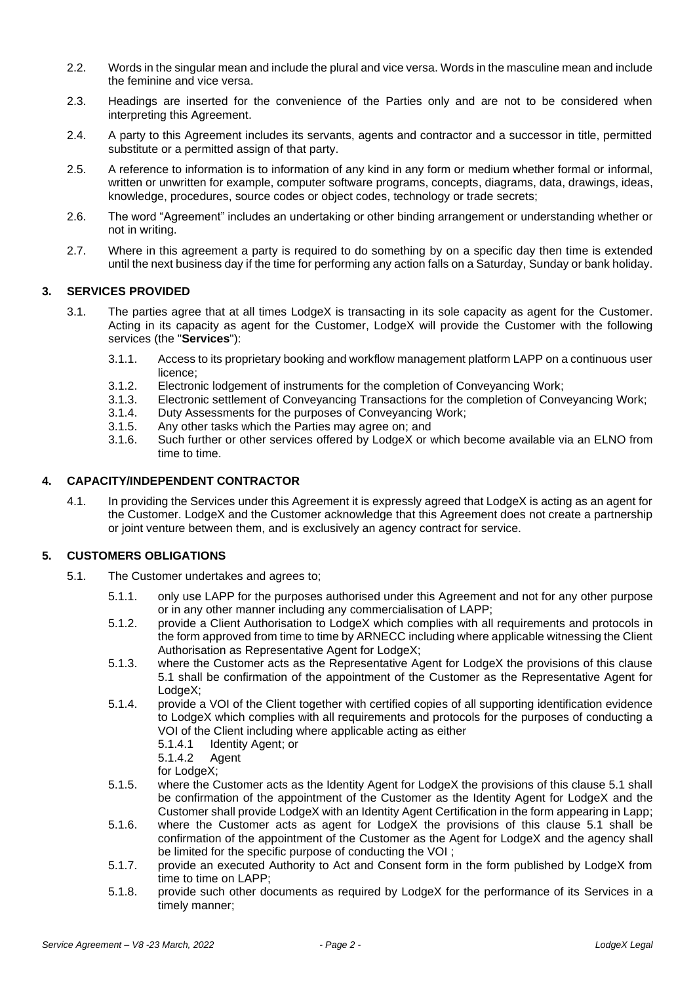- 2.2. Words in the singular mean and include the plural and vice versa. Words in the masculine mean and include the feminine and vice versa.
- 2.3. Headings are inserted for the convenience of the Parties only and are not to be considered when interpreting this Agreement.
- 2.4. A party to this Agreement includes its servants, agents and contractor and a successor in title, permitted substitute or a permitted assign of that party.
- 2.5. A reference to information is to information of any kind in any form or medium whether formal or informal, written or unwritten for example, computer software programs, concepts, diagrams, data, drawings, ideas, knowledge, procedures, source codes or object codes, technology or trade secrets;
- 2.6. The word "Agreement" includes an undertaking or other binding arrangement or understanding whether or not in writing.
- 2.7. Where in this agreement a party is required to do something by on a specific day then time is extended until the next business day if the time for performing any action falls on a Saturday, Sunday or bank holiday.

# **3. SERVICES PROVIDED**

- 3.1. The parties agree that at all times LodgeX is transacting in its sole capacity as agent for the Customer. Acting in its capacity as agent for the Customer, LodgeX will provide the Customer with the following services (the "**Services**"):
	- 3.1.1. Access to its proprietary booking and workflow management platform LAPP on a continuous user licence;
	- 3.1.2. Electronic lodgement of instruments for the completion of Conveyancing Work;
	- 3.1.3. Electronic settlement of Conveyancing Transactions for the completion of Conveyancing Work;
	- 3.1.4. Duty Assessments for the purposes of Conveyancing Work;
	- 3.1.5. Any other tasks which the Parties may agree on; and 3.1.6. Such further or other services offered by LodgeX or  $\sqrt{ }$
	- Such further or other services offered by LodgeX or which become available via an ELNO from time to time.

### **4. CAPACITY/INDEPENDENT CONTRACTOR**

4.1. In providing the Services under this Agreement it is expressly agreed that LodgeX is acting as an agent for the Customer. LodgeX and the Customer acknowledge that this Agreement does not create a partnership or joint venture between them, and is exclusively an agency contract for service.

### **5. CUSTOMERS OBLIGATIONS**

- 5.1. The Customer undertakes and agrees to;
	- 5.1.1. only use LAPP for the purposes authorised under this Agreement and not for any other purpose or in any other manner including any commercialisation of LAPP;
	- 5.1.2. provide a Client Authorisation to LodgeX which complies with all requirements and protocols in the form approved from time to time by ARNECC including where applicable witnessing the Client Authorisation as Representative Agent for LodgeX;
	- 5.1.3. where the Customer acts as the Representative Agent for LodgeX the provisions of this clause 5.1 shall be confirmation of the appointment of the Customer as the Representative Agent for LodgeX;
	- 5.1.4. provide a VOI of the Client together with certified copies of all supporting identification evidence to LodgeX which complies with all requirements and protocols for the purposes of conducting a VOI of the Client including where applicable acting as either
		- 5.1.4.1 Identity Agent; or

5.1.4.2 Agent

for LodgeX;

- 5.1.5. where the Customer acts as the Identity Agent for LodgeX the provisions of this clause 5.1 shall be confirmation of the appointment of the Customer as the Identity Agent for LodgeX and the Customer shall provide LodgeX with an Identity Agent Certification in the form appearing in Lapp;
- 5.1.6. where the Customer acts as agent for LodgeX the provisions of this clause 5.1 shall be confirmation of the appointment of the Customer as the Agent for LodgeX and the agency shall be limited for the specific purpose of conducting the VOI ;
- 5.1.7. provide an executed Authority to Act and Consent form in the form published by LodgeX from time to time on LAPP;
- 5.1.8. provide such other documents as required by LodgeX for the performance of its Services in a timely manner;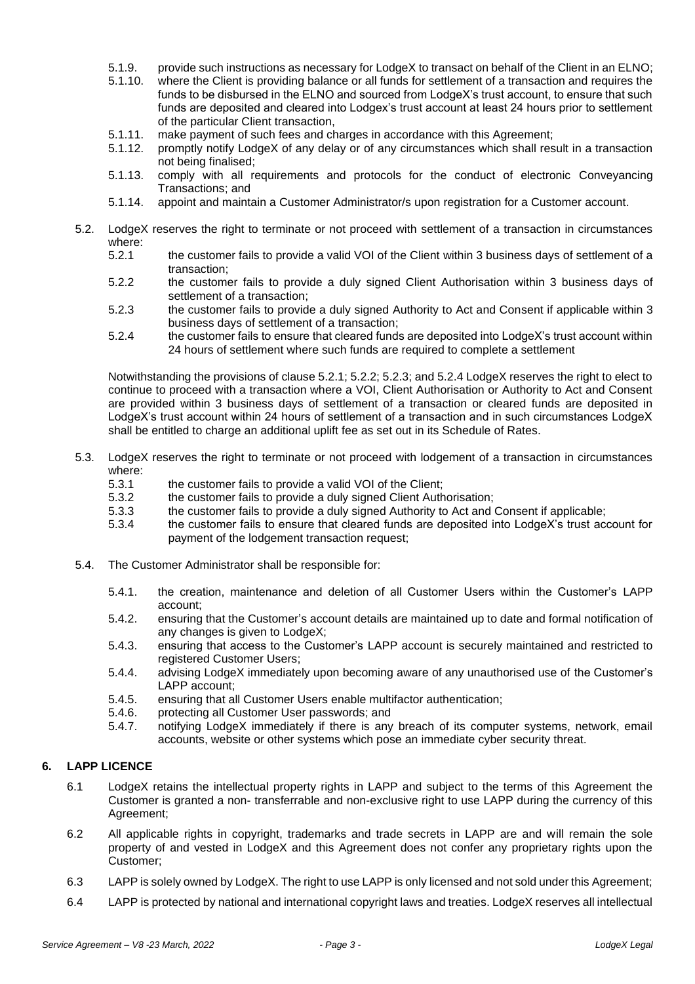- 5.1.9. provide such instructions as necessary for LodgeX to transact on behalf of the Client in an ELNO;<br>5.1.10. where the Client is providing balance or all funds for settlement of a transaction and requires the
- 5.1.10. where the Client is providing balance or all funds for settlement of a transaction and requires the funds to be disbursed in the ELNO and sourced from LodgeX's trust account, to ensure that such funds are deposited and cleared into Lodgex's trust account at least 24 hours prior to settlement of the particular Client transaction,
- 5.1.11. make payment of such fees and charges in accordance with this Agreement;<br>5.1.12. promptly notify LodgeX of any delay or of any circumstances which shall res
- 5.1.12. promptly notify LodgeX of any delay or of any circumstances which shall result in a transaction not being finalised;
- 5.1.13. comply with all requirements and protocols for the conduct of electronic Conveyancing Transactions; and
- 5.1.14. appoint and maintain a Customer Administrator/s upon registration for a Customer account.
- 5.2. LodgeX reserves the right to terminate or not proceed with settlement of a transaction in circumstances where:<br>5.2.1
	- the customer fails to provide a valid VOI of the Client within 3 business days of settlement of a transaction;
	- 5.2.2 the customer fails to provide a duly signed Client Authorisation within 3 business days of settlement of a transaction;
	- 5.2.3 the customer fails to provide a duly signed Authority to Act and Consent if applicable within 3 business days of settlement of a transaction;
	- 5.2.4 the customer fails to ensure that cleared funds are deposited into LodgeX's trust account within 24 hours of settlement where such funds are required to complete a settlement

Notwithstanding the provisions of clause 5.2.1; 5.2.2; 5.2.3; and 5.2.4 LodgeX reserves the right to elect to continue to proceed with a transaction where a VOI, Client Authorisation or Authority to Act and Consent are provided within 3 business days of settlement of a transaction or cleared funds are deposited in LodgeX's trust account within 24 hours of settlement of a transaction and in such circumstances LodgeX shall be entitled to charge an additional uplift fee as set out in its Schedule of Rates.

- 5.3. LodgeX reserves the right to terminate or not proceed with lodgement of a transaction in circumstances where:
	- 5.3.1 the customer fails to provide a valid VOI of the Client;
	- 5.3.2 the customer fails to provide a duly signed Client Authorisation;
	- 5.3.3 the customer fails to provide a duly signed Authority to Act and Consent if applicable;
	- 5.3.4 the customer fails to ensure that cleared funds are deposited into LodgeX's trust account for payment of the lodgement transaction request;
- 5.4. The Customer Administrator shall be responsible for:
	- 5.4.1. the creation, maintenance and deletion of all Customer Users within the Customer's LAPP account;
	- 5.4.2. ensuring that the Customer's account details are maintained up to date and formal notification of any changes is given to LodgeX;
	- 5.4.3. ensuring that access to the Customer's LAPP account is securely maintained and restricted to registered Customer Users;
	- 5.4.4. advising LodgeX immediately upon becoming aware of any unauthorised use of the Customer's LAPP account;
	- 5.4.5. ensuring that all Customer Users enable multifactor authentication;
	- 5.4.6. protecting all Customer User passwords; and
	- 5.4.7. notifying LodgeX immediately if there is any breach of its computer systems, network, email accounts, website or other systems which pose an immediate cyber security threat.

#### **6. LAPP LICENCE**

- 6.1 LodgeX retains the intellectual property rights in LAPP and subject to the terms of this Agreement the Customer is granted a non- transferrable and non-exclusive right to use LAPP during the currency of this Agreement;
- 6.2 All applicable rights in copyright, trademarks and trade secrets in LAPP are and will remain the sole property of and vested in LodgeX and this Agreement does not confer any proprietary rights upon the Customer;
- 6.3 LAPP is solely owned by LodgeX. The right to use LAPP is only licensed and not sold under this Agreement;
- 6.4 LAPP is protected by national and international copyright laws and treaties. LodgeX reserves all intellectual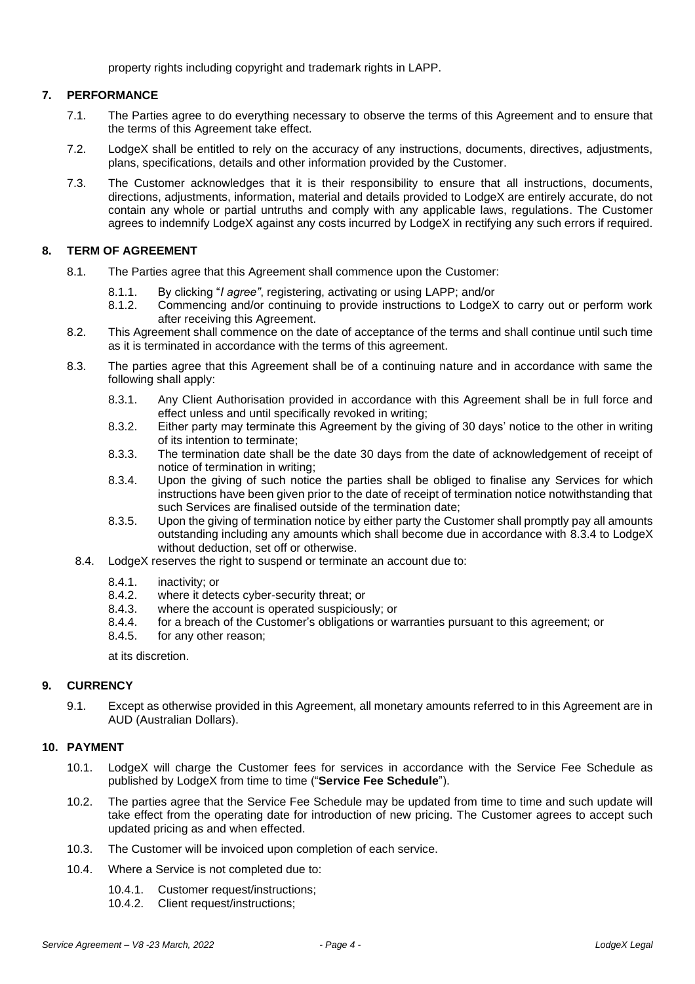property rights including copyright and trademark rights in LAPP.

# **7. PERFORMANCE**

- 7.1. The Parties agree to do everything necessary to observe the terms of this Agreement and to ensure that the terms of this Agreement take effect.
- 7.2. LodgeX shall be entitled to rely on the accuracy of any instructions, documents, directives, adjustments, plans, specifications, details and other information provided by the Customer.
- 7.3. The Customer acknowledges that it is their responsibility to ensure that all instructions, documents, directions, adjustments, information, material and details provided to LodgeX are entirely accurate, do not contain any whole or partial untruths and comply with any applicable laws, regulations. The Customer agrees to indemnify LodgeX against any costs incurred by LodgeX in rectifying any such errors if required.

## **8. TERM OF AGREEMENT**

- 8.1. The Parties agree that this Agreement shall commence upon the Customer:
	- 8.1.1. By clicking "*I agree"*, registering, activating or using LAPP; and/or
	- 8.1.2. Commencing and/or continuing to provide instructions to LodgeX to carry out or perform work after receiving this Agreement.
- 8.2. This Agreement shall commence on the date of acceptance of the terms and shall continue until such time as it is terminated in accordance with the terms of this agreement.
- <span id="page-3-0"></span>8.3. The parties agree that this Agreement shall be of a continuing nature and in accordance with same the following shall apply:
	- 8.3.1. Any Client Authorisation provided in accordance with this Agreement shall be in full force and effect unless and until specifically revoked in writing;
	- 8.3.2. Either party may terminate this Agreement by the giving of 30 days' notice to the other in writing of its intention to terminate;
	- 8.3.3. The termination date shall be the date 30 days from the date of acknowledgement of receipt of notice of termination in writing;
	- 8.3.4. Upon the giving of such notice the parties shall be obliged to finalise any Services for which instructions have been given prior to the date of receipt of termination notice notwithstanding that such Services are finalised outside of the termination date;
	- 8.3.5. Upon the giving of termination notice by either party the Customer shall promptly pay all amounts outstanding including any amounts which shall become due in accordance with [8.3.4](#page-3-0) to LodgeX without deduction, set off or otherwise.
	- 8.4. LodgeX reserves the right to suspend or terminate an account due to:
		- 8.4.1. inactivity; or 8.4.2. where it deter-
		- 8.4.2. where it detects cyber-security threat; or 8.4.3. where the account is operated suspicious
		- 8.4.3. where the account is operated suspiciously; or 8.4.4. for a breach of the Customer's obligations or w
		- 8.4.4. for a breach of the Customer's obligations or warranties pursuant to this agreement; or 8.4.5. for any other reason:
		- for any other reason;

at its discretion.

### **9. CURRENCY**

9.1. Except as otherwise provided in this Agreement, all monetary amounts referred to in this Agreement are in AUD (Australian Dollars).

### **10. PAYMENT**

- 10.1. LodgeX will charge the Customer fees for services in accordance with the Service Fee Schedule as published by LodgeX from time to time ("**Service Fee Schedule**").
- 10.2. The parties agree that the Service Fee Schedule may be updated from time to time and such update will take effect from the operating date for introduction of new pricing. The Customer agrees to accept such updated pricing as and when effected.
- 10.3. The Customer will be invoiced upon completion of each service.
- 10.4. Where a Service is not completed due to:
	- 10.4.1. Customer request/instructions;
	- 10.4.2. Client request/instructions;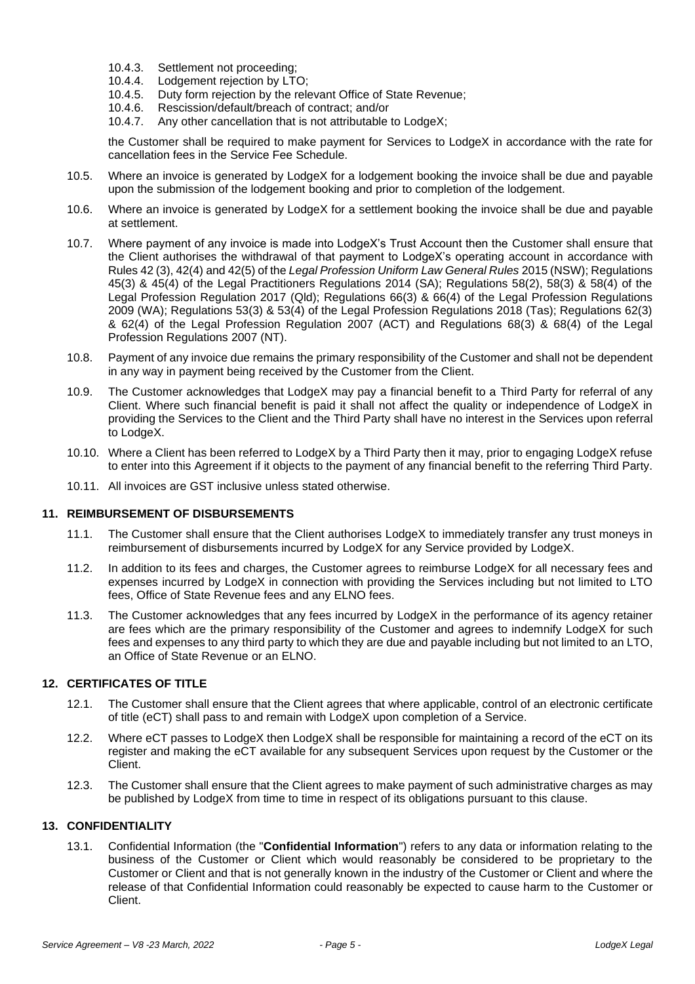- 10.4.3. Settlement not proceeding;
- 10.4.4. Lodgement rejection by LTO;
- 10.4.5. Duty form rejection by the relevant Office of State Revenue;<br>10.4.6. Rescission/default/breach of contract; and/or
- Rescission/default/breach of contract; and/or
- 10.4.7. Any other cancellation that is not attributable to LodgeX;

the Customer shall be required to make payment for Services to LodgeX in accordance with the rate for cancellation fees in the Service Fee Schedule.

- 10.5. Where an invoice is generated by LodgeX for a lodgement booking the invoice shall be due and payable upon the submission of the lodgement booking and prior to completion of the lodgement.
- 10.6. Where an invoice is generated by LodgeX for a settlement booking the invoice shall be due and payable at settlement.
- 10.7. Where payment of any invoice is made into LodgeX's Trust Account then the Customer shall ensure that the Client authorises the withdrawal of that payment to LodgeX's operating account in accordance with Rules 42 (3), 42(4) and 42(5) of the *Legal Profession Uniform Law General Rules* 2015 (NSW); Regulations 45(3) & 45(4) of the Legal Practitioners Regulations 2014 (SA); Regulations 58(2), 58(3) & 58(4) of the Legal Profession Regulation 2017 (Qld); Regulations 66(3) & 66(4) of the Legal Profession Regulations 2009 (WA); Regulations 53(3) & 53(4) of the Legal Profession Regulations 2018 (Tas); Regulations 62(3) & 62(4) of the Legal Profession Regulation 2007 (ACT) and Regulations 68(3) & 68(4) of the Legal Profession Regulations 2007 (NT).
- 10.8. Payment of any invoice due remains the primary responsibility of the Customer and shall not be dependent in any way in payment being received by the Customer from the Client.
- 10.9. The Customer acknowledges that LodgeX may pay a financial benefit to a Third Party for referral of any Client. Where such financial benefit is paid it shall not affect the quality or independence of LodgeX in providing the Services to the Client and the Third Party shall have no interest in the Services upon referral to LodgeX.
- 10.10. Where a Client has been referred to LodgeX by a Third Party then it may, prior to engaging LodgeX refuse to enter into this Agreement if it objects to the payment of any financial benefit to the referring Third Party.
- 10.11. All invoices are GST inclusive unless stated otherwise.

#### **11. REIMBURSEMENT OF DISBURSEMENTS**

- 11.1. The Customer shall ensure that the Client authorises LodgeX to immediately transfer any trust moneys in reimbursement of disbursements incurred by LodgeX for any Service provided by LodgeX.
- 11.2. In addition to its fees and charges, the Customer agrees to reimburse LodgeX for all necessary fees and expenses incurred by LodgeX in connection with providing the Services including but not limited to LTO fees, Office of State Revenue fees and any ELNO fees.
- 11.3. The Customer acknowledges that any fees incurred by LodgeX in the performance of its agency retainer are fees which are the primary responsibility of the Customer and agrees to indemnify LodgeX for such fees and expenses to any third party to which they are due and payable including but not limited to an LTO, an Office of State Revenue or an ELNO.

# **12. CERTIFICATES OF TITLE**

- 12.1. The Customer shall ensure that the Client agrees that where applicable, control of an electronic certificate of title (eCT) shall pass to and remain with LodgeX upon completion of a Service.
- 12.2. Where eCT passes to LodgeX then LodgeX shall be responsible for maintaining a record of the eCT on its register and making the eCT available for any subsequent Services upon request by the Customer or the Client.
- 12.3. The Customer shall ensure that the Client agrees to make payment of such administrative charges as may be published by LodgeX from time to time in respect of its obligations pursuant to this clause.

#### **13. CONFIDENTIALITY**

13.1. Confidential Information (the "**Confidential Information**") refers to any data or information relating to the business of the Customer or Client which would reasonably be considered to be proprietary to the Customer or Client and that is not generally known in the industry of the Customer or Client and where the release of that Confidential Information could reasonably be expected to cause harm to the Customer or Client.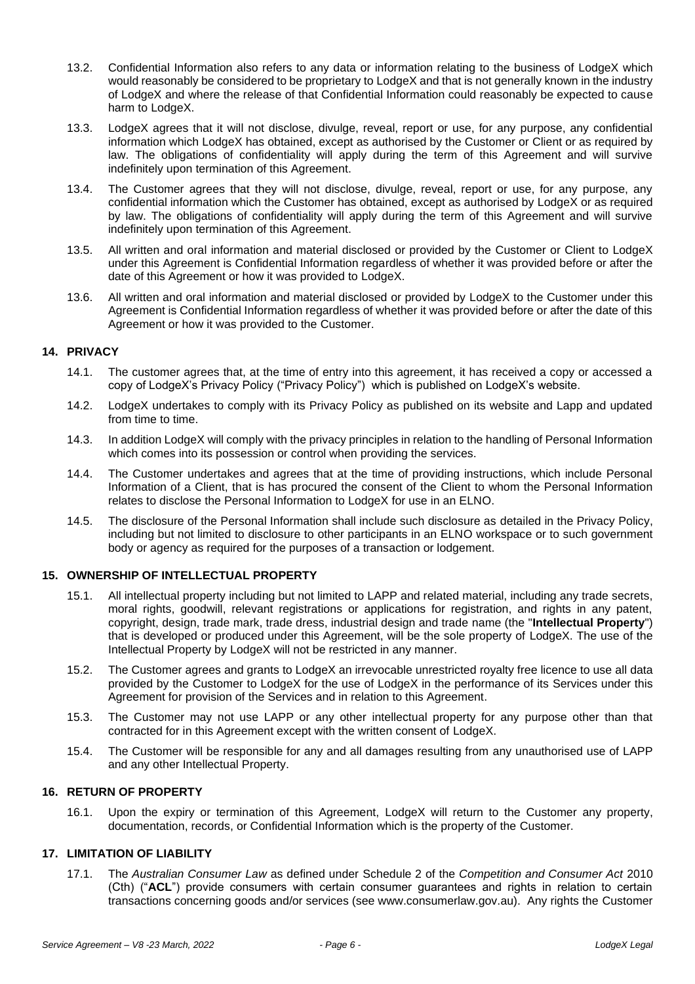- 13.2. Confidential Information also refers to any data or information relating to the business of LodgeX which would reasonably be considered to be proprietary to LodgeX and that is not generally known in the industry of LodgeX and where the release of that Confidential Information could reasonably be expected to cause harm to LodgeX.
- 13.3. LodgeX agrees that it will not disclose, divulge, reveal, report or use, for any purpose, any confidential information which LodgeX has obtained, except as authorised by the Customer or Client or as required by law. The obligations of confidentiality will apply during the term of this Agreement and will survive indefinitely upon termination of this Agreement.
- 13.4. The Customer agrees that they will not disclose, divulge, reveal, report or use, for any purpose, any confidential information which the Customer has obtained, except as authorised by LodgeX or as required by law. The obligations of confidentiality will apply during the term of this Agreement and will survive indefinitely upon termination of this Agreement.
- 13.5. All written and oral information and material disclosed or provided by the Customer or Client to LodgeX under this Agreement is Confidential Information regardless of whether it was provided before or after the date of this Agreement or how it was provided to LodgeX.
- 13.6. All written and oral information and material disclosed or provided by LodgeX to the Customer under this Agreement is Confidential Information regardless of whether it was provided before or after the date of this Agreement or how it was provided to the Customer.

### **14. PRIVACY**

- 14.1. The customer agrees that, at the time of entry into this agreement, it has received a copy or accessed a copy of LodgeX's Privacy Policy ("Privacy Policy") which is published on LodgeX's website.
- 14.2. LodgeX undertakes to comply with its Privacy Policy as published on its website and Lapp and updated from time to time.
- 14.3. In addition LodgeX will comply with the privacy principles in relation to the handling of Personal Information which comes into its possession or control when providing the services.
- 14.4. The Customer undertakes and agrees that at the time of providing instructions, which include Personal Information of a Client, that is has procured the consent of the Client to whom the Personal Information relates to disclose the Personal Information to LodgeX for use in an ELNO.
- 14.5. The disclosure of the Personal Information shall include such disclosure as detailed in the Privacy Policy, including but not limited to disclosure to other participants in an ELNO workspace or to such government body or agency as required for the purposes of a transaction or lodgement.

#### **15. OWNERSHIP OF INTELLECTUAL PROPERTY**

- 15.1. All intellectual property including but not limited to LAPP and related material, including any trade secrets, moral rights, goodwill, relevant registrations or applications for registration, and rights in any patent, copyright, design, trade mark, trade dress, industrial design and trade name (the "**Intellectual Property**") that is developed or produced under this Agreement, will be the sole property of LodgeX. The use of the Intellectual Property by LodgeX will not be restricted in any manner.
- 15.2. The Customer agrees and grants to LodgeX an irrevocable unrestricted royalty free licence to use all data provided by the Customer to LodgeX for the use of LodgeX in the performance of its Services under this Agreement for provision of the Services and in relation to this Agreement.
- 15.3. The Customer may not use LAPP or any other intellectual property for any purpose other than that contracted for in this Agreement except with the written consent of LodgeX.
- 15.4. The Customer will be responsible for any and all damages resulting from any unauthorised use of LAPP and any other Intellectual Property.

### **16. RETURN OF PROPERTY**

16.1. Upon the expiry or termination of this Agreement, LodgeX will return to the Customer any property, documentation, records, or Confidential Information which is the property of the Customer.

#### **17. LIMITATION OF LIABILITY**

17.1. The *Australian Consumer Law* as defined under Schedule 2 of the *Competition and Consumer Act* 2010 (Cth) ("**ACL**") provide consumers with certain consumer guarantees and rights in relation to certain transactions concerning goods and/or services (see www.consumerlaw.gov.au). Any rights the Customer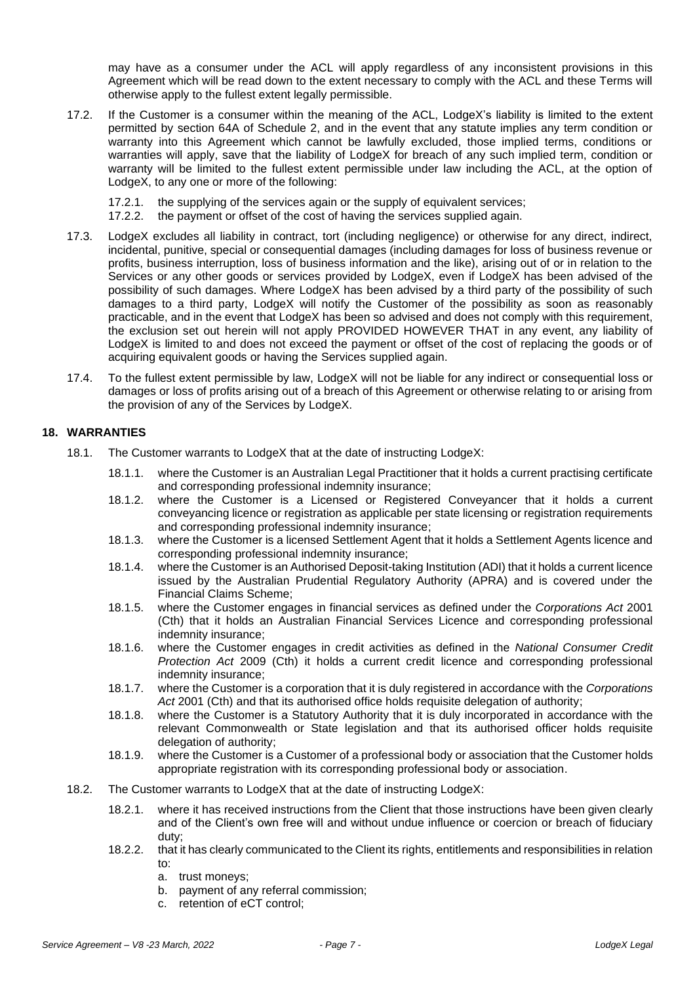may have as a consumer under the ACL will apply regardless of any inconsistent provisions in this Agreement which will be read down to the extent necessary to comply with the ACL and these Terms will otherwise apply to the fullest extent legally permissible.

- 17.2. If the Customer is a consumer within the meaning of the ACL, LodgeX's liability is limited to the extent permitted by section 64A of Schedule 2, and in the event that any statute implies any term condition or warranty into this Agreement which cannot be lawfully excluded, those implied terms, conditions or warranties will apply, save that the liability of LodgeX for breach of any such implied term, condition or warranty will be limited to the fullest extent permissible under law including the ACL, at the option of LodgeX, to any one or more of the following:
	- 17.2.1. the supplying of the services again or the supply of equivalent services;<br>17.2.2. the payment or offset of the cost of having the services supplied again.
	- the payment or offset of the cost of having the services supplied again.
- 17.3. LodgeX excludes all liability in contract, tort (including negligence) or otherwise for any direct, indirect, incidental, punitive, special or consequential damages (including damages for loss of business revenue or profits, business interruption, loss of business information and the like), arising out of or in relation to the Services or any other goods or services provided by LodgeX, even if LodgeX has been advised of the possibility of such damages. Where LodgeX has been advised by a third party of the possibility of such damages to a third party, LodgeX will notify the Customer of the possibility as soon as reasonably practicable, and in the event that LodgeX has been so advised and does not comply with this requirement, the exclusion set out herein will not apply PROVIDED HOWEVER THAT in any event, any liability of LodgeX is limited to and does not exceed the payment or offset of the cost of replacing the goods or of acquiring equivalent goods or having the Services supplied again.
- 17.4. To the fullest extent permissible by law, LodgeX will not be liable for any indirect or consequential loss or damages or loss of profits arising out of a breach of this Agreement or otherwise relating to or arising from the provision of any of the Services by LodgeX.

#### **18. WARRANTIES**

- 18.1. The Customer warrants to LodgeX that at the date of instructing LodgeX:
	- 18.1.1. where the Customer is an Australian Legal Practitioner that it holds a current practising certificate and corresponding professional indemnity insurance;
	- 18.1.2. where the Customer is a Licensed or Registered Conveyancer that it holds a current conveyancing licence or registration as applicable per state licensing or registration requirements and corresponding professional indemnity insurance;
	- 18.1.3. where the Customer is a licensed Settlement Agent that it holds a Settlement Agents licence and corresponding professional indemnity insurance;
	- 18.1.4. where the Customer is an Authorised Deposit-taking Institution (ADI) that it holds a current licence issued by the Australian Prudential Regulatory Authority (APRA) and is covered under the Financial Claims Scheme;
	- 18.1.5. where the Customer engages in financial services as defined under the *Corporations Act* 2001 (Cth) that it holds an Australian Financial Services Licence and corresponding professional indemnity insurance;
	- 18.1.6. where the Customer engages in credit activities as defined in the *National Consumer Credit Protection Act* 2009 (Cth) it holds a current credit licence and corresponding professional indemnity insurance;
	- 18.1.7. where the Customer is a corporation that it is duly registered in accordance with the *Corporations Act* 2001 (Cth) and that its authorised office holds requisite delegation of authority;
	- 18.1.8. where the Customer is a Statutory Authority that it is duly incorporated in accordance with the relevant Commonwealth or State legislation and that its authorised officer holds requisite delegation of authority;
	- 18.1.9. where the Customer is a Customer of a professional body or association that the Customer holds appropriate registration with its corresponding professional body or association.
- 18.2. The Customer warrants to LodgeX that at the date of instructing LodgeX:
	- 18.2.1. where it has received instructions from the Client that those instructions have been given clearly and of the Client's own free will and without undue influence or coercion or breach of fiduciary duty;
	- 18.2.2. that it has clearly communicated to the Client its rights, entitlements and responsibilities in relation to:
		- a. trust moneys;
		- b. payment of any referral commission;
		- c. retention of eCT control;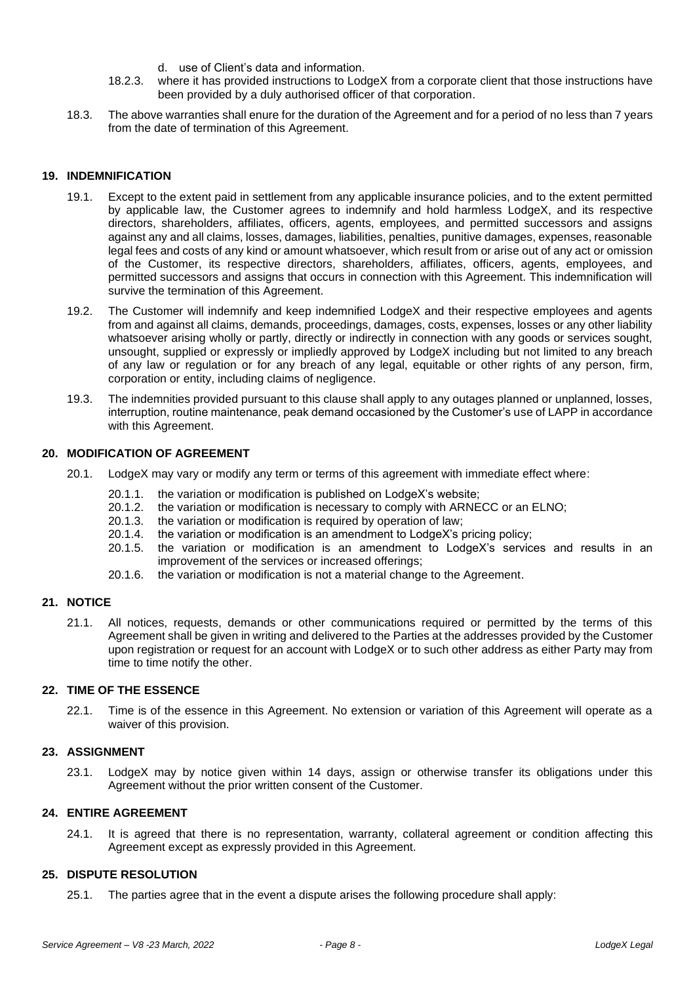- d. use of Client's data and information.
- 18.2.3. where it has provided instructions to LodgeX from a corporate client that those instructions have been provided by a duly authorised officer of that corporation.
- 18.3. The above warranties shall enure for the duration of the Agreement and for a period of no less than 7 years from the date of termination of this Agreement.

#### **19. INDEMNIFICATION**

- 19.1. Except to the extent paid in settlement from any applicable insurance policies, and to the extent permitted by applicable law, the Customer agrees to indemnify and hold harmless LodgeX, and its respective directors, shareholders, affiliates, officers, agents, employees, and permitted successors and assigns against any and all claims, losses, damages, liabilities, penalties, punitive damages, expenses, reasonable legal fees and costs of any kind or amount whatsoever, which result from or arise out of any act or omission of the Customer, its respective directors, shareholders, affiliates, officers, agents, employees, and permitted successors and assigns that occurs in connection with this Agreement. This indemnification will survive the termination of this Agreement.
- 19.2. The Customer will indemnify and keep indemnified LodgeX and their respective employees and agents from and against all claims, demands, proceedings, damages, costs, expenses, losses or any other liability whatsoever arising wholly or partly, directly or indirectly in connection with any goods or services sought, unsought, supplied or expressly or impliedly approved by LodgeX including but not limited to any breach of any law or regulation or for any breach of any legal, equitable or other rights of any person, firm, corporation or entity, including claims of negligence.
- 19.3. The indemnities provided pursuant to this clause shall apply to any outages planned or unplanned, losses, interruption, routine maintenance, peak demand occasioned by the Customer's use of LAPP in accordance with this Agreement.

#### **20. MODIFICATION OF AGREEMENT**

- 20.1. LodgeX may vary or modify any term or terms of this agreement with immediate effect where:
	- 20.1.1. the variation or modification is published on LodgeX's website;
	- 20.1.2. the variation or modification is necessary to comply with ARNECC or an ELNO;
	- 20.1.3. the variation or modification is required by operation of law;
	- 20.1.4. the variation or modification is an amendment to LodgeX's pricing policy;
	- 20.1.5. the variation or modification is an amendment to LodgeX's services and results in an improvement of the services or increased offerings;
	- 20.1.6. the variation or modification is not a material change to the Agreement.

#### **21. NOTICE**

21.1. All notices, requests, demands or other communications required or permitted by the terms of this Agreement shall be given in writing and delivered to the Parties at the addresses provided by the Customer upon registration or request for an account with LodgeX or to such other address as either Party may from time to time notify the other.

#### **22. TIME OF THE ESSENCE**

22.1. Time is of the essence in this Agreement. No extension or variation of this Agreement will operate as a waiver of this provision.

#### **23. ASSIGNMENT**

23.1. LodgeX may by notice given within 14 days, assign or otherwise transfer its obligations under this Agreement without the prior written consent of the Customer.

# **24. ENTIRE AGREEMENT**

24.1. It is agreed that there is no representation, warranty, collateral agreement or condition affecting this Agreement except as expressly provided in this Agreement.

#### <span id="page-7-0"></span>**25. DISPUTE RESOLUTION**

25.1. The parties agree that in the event a dispute arises the following procedure shall apply: